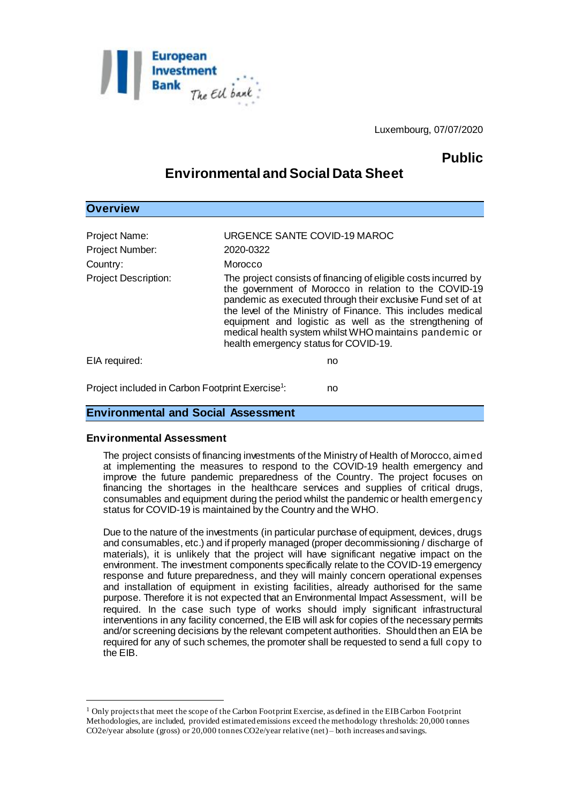

Luxembourg, 07/07/2020

# **Public**

# **Environmental and Social Data Sheet**

| , , , , , , , , ,                                                           |                                                                                                                                                                                                                                                                                                                                                                                                                                                                             |
|-----------------------------------------------------------------------------|-----------------------------------------------------------------------------------------------------------------------------------------------------------------------------------------------------------------------------------------------------------------------------------------------------------------------------------------------------------------------------------------------------------------------------------------------------------------------------|
| Project Name:<br>Project Number:<br>Country:<br><b>Project Description:</b> | URGENCE SANTE COVID-19 MAROC<br>2020-0322<br>Morocco<br>The project consists of financing of eligible costs incurred by<br>the government of Morocco in relation to the COVID-19<br>pandemic as executed through their exclusive Fund set of at<br>the level of the Ministry of Finance. This includes medical<br>equipment and logistic as well as the strengthening of<br>medical health system whilst WHO maintains pandemic or<br>health emergency status for COVID-19. |
| EIA required:                                                               | no                                                                                                                                                                                                                                                                                                                                                                                                                                                                          |
| Project included in Carbon Footprint Exercise <sup>1</sup> :<br>no          |                                                                                                                                                                                                                                                                                                                                                                                                                                                                             |

### **Environmental and Social Assessment**

#### **Environmental Assessment**

l

**Overview**

The project consists of financing investments of the Ministry of Health of Morocco, aimed at implementing the measures to respond to the COVID-19 health emergency and improve the future pandemic preparedness of the Country. The project focuses on financing the shortages in the healthcare services and supplies of critical drugs, consumables and equipment during the period whilst the pandemic or health emergency status for COVID-19 is maintained by the Country and the WHO.

Due to the nature of the investments (in particular purchase of equipment, devices, drugs and consumables, etc.) and if properly managed (proper decommissioning / discharge of materials), it is unlikely that the project will have significant negative impact on the environment. The investment components specifically relate to the COVID-19 emergency response and future preparedness, and they will mainly concern operational expenses and installation of equipment in existing facilities, already authorised for the same purpose. Therefore it is not expected that an Environmental Impact Assessment, will be required. In the case such type of works should imply significant infrastructural interventions in any facility concerned, the EIB will ask for copies of the necessary permits and/or screening decisions by the relevant competent authorities. Should then an EIA be required for any of such schemes, the promoter shall be requested to send a full copy to the EIB.

<sup>&</sup>lt;sup>1</sup> Only projects that meet the scope of the Carbon Footprint Exercise, as defined in the EIB Carbon Footprint Methodologies, are included, provided estimated emissions exceed the methodology thresholds: 20,000 tonnes CO2e/year absolute (gross) or 20,000 tonnes CO2e/year relative (net) – both increases and savings.